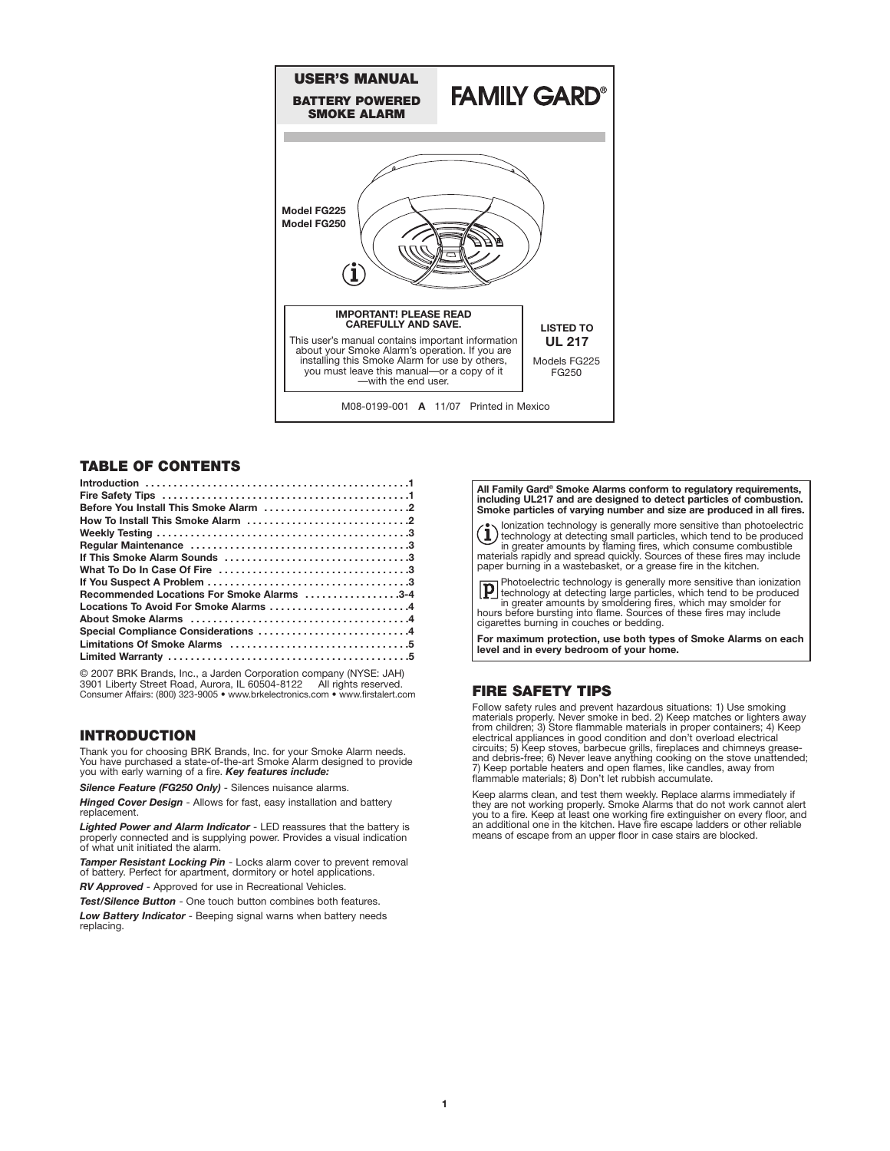

# **TABLE OF CONTENTS**

| Recommended Locations For Smoke Alarms 3-4 |  |
|--------------------------------------------|--|
| Locations To Avoid For Smoke Alarms 4      |  |
|                                            |  |
| Special Compliance Considerations 4        |  |
|                                            |  |
|                                            |  |
|                                            |  |

© 2007 BRK Brands, Inc., a Jarden Corporation company (NYSE: JAH)<br>3901 Liberty Street Road, Aurora, IL 60504-8122 All rights reserved.<br>Consumer Affairs: (800) 323-9005 • www.brkelectronics.com • www.firstalert.com

# **INTRODUCTION**

Thank you for choosing BRK Brands, Inc. for your Smoke Alarm needs. You have purchased a state-of-the-art Smoke Alarm designed to provide you with early warning of a fire. *Key features include:*

*Silence Feature (FG250 Only)* - Silences nuisance alarms.

*Hinged Cover Design* - Allows for fast, easy installation and battery

*Lighted Power and Alarm Indicator* - LED reassures that the battery is properly connected and is supplying power. Provides a visual indication of what unit initiated the alarm.

*Tamper Resistant Locking Pin* - Locks alarm cover to prevent removal of battery. Perfect for apartment, dormitory or hotel applications. *RV Approved* - Approved for use in Recreational Vehicles.

*Test/Silence Button* - One touch button combines both features.

*Low Battery Indicator* - Beeping signal warns when battery needs replacing.

**All Family Gard® Smoke Alarms conform to regulatory requirements, including UL217 and are designed to detect particles of combustion. Smoke particles of varying number and size are produced in all fires.**

(1) lonization technology is generally more sensitive than photoelectric<br>termology at detecting small particles, which tend to be produced<br>in greater amounts by flaming fires, which consume combustible<br>materials rapidly an paper burning in a wastebasket, or a grease fire in the kitchen.

Photoelectric technology is generally more sensitive than ionization technology at detecting large particles, which tend to be produced in greater amounts by smoldering fires, which may smolder for hours before bursting into flame. Sources of these fires may include cigarettes burning in couches or bedding.

**For maximum protection, use both types of Smoke Alarms on each level and in every bedroom of your home.**

# **FIRE SAFETY TIPS**

Follow safety rules and prevent hazardous situations: 1) Use smoking materials properly. Never smoke in bed. 2) Keep matches or lighters away from children; 3) Store flammable materials in proper containers; 4) Keep electrical appliances in good condition and don't overload electrical circu flammable materials; 8) Don't let rubbish accumulate.

Keep alarms clean, and test them weekly. Replace alarms immediately if they are not working properly. Smoke Alarms that do not work cannot alert you to a fire. Keep at least one working fire extinguisher on every floor, and an additional one in the kitchen. Have fire escape ladders or other reliable means of escape from an upper floor in case stairs are blocked.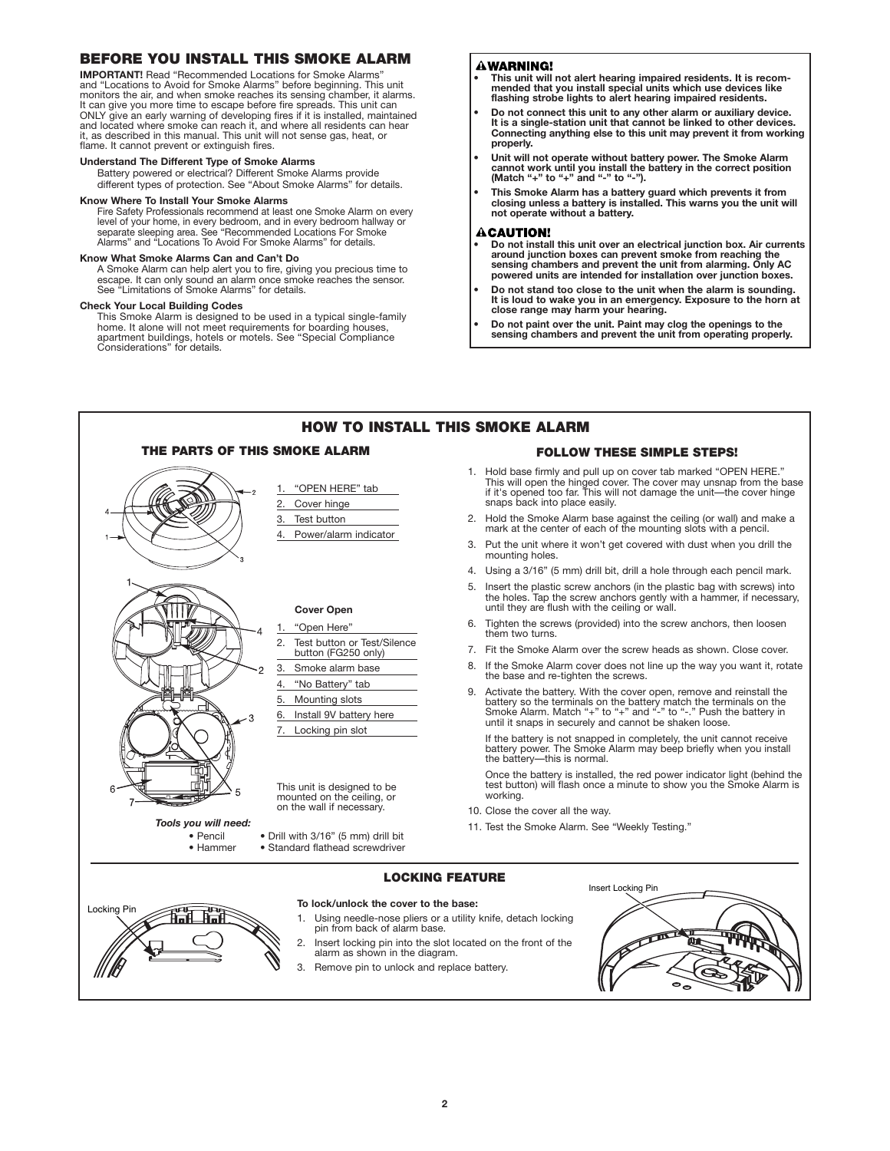# **BEFORE YOU INSTALL THIS SMOKE ALARM**

**IMPORTANT!** Read "Recommended Locations for Smoke Alarms" and "Locations to Avoid for Smoke Alarms" before beginning. This unit monitors the air, and when smoke reaches its sensing chamber, it alarms. It can give you more time to escape before fire spreads. This unit can ONLY give an early warning of developing fires if it is installed, maintained and located where smoke can reach it, and where all residents can hear it, as described in this manual. This unit will not sense gas, heat, or flame. It cannot prevent or extinguish fires.

## **Understand The Different Type of Smoke Alarms**

Battery powered or electrical? Different Smoke Alarms provide different types of protection. See "About Smoke Alarms" for details.

## **Know Where To Install Your Smoke Alarms**

Fire Safety Professionals recommend at least one Smoke Alarm on every level of your home, in every bedroom, and in every bedroom hallway or separate sleeping area. See "Recommended Locations For Smoke Alarms" and "Locations To Avoid For Smoke Alarms" for details.

## **Know What Smoke Alarms Can and Can't Do**

A Smoke Alarm can help alert you to fire, giving you precious time to escape. It can only sound an alarm once smoke reaches the sensor. See "Limitations of Smoke Alarms" for details.

#### **Check Your Local Building Codes**

This Smoke Alarm is designed to be used in a typical single-family home. It alone will not meet requirements for boarding houses, apartment buildings, hotels or motels. See "Special Compliance Considerations" for details.

## **AWARNING!**

- **This unit will not alert hearing impaired residents. It is recom-mended that you install special units which use devices like flashing strobe lights to alert hearing impaired residents.**
- **• Do not connect this unit to any other alarm or auxiliary device. It is a single-station unit that cannot be linked to other devices. Connecting anything else to this unit may prevent it from working properly.**
- **• Unit will not operate without battery power. The Smoke Alarm cannot work until you install the battery in the correct position (Match "+" to "+" and "-" to "-").**
- **This Smoke Alarm has a battery guard which prevents it from closing unless a battery is installed. This warns you the unit will not operate without a battery.**

## **ACAUTION!**

- **• Do not install this unit over an electrical junction box. Air currents around junction boxes can prevent smoke from reaching the sensing chambers and prevent the unit from alarming. Only AC powered units are intended for installation over junction boxes.**
- **• Do not stand too close to the unit when the alarm is sounding. It is loud to wake you in an emergency. Exposure to the horn at close range may harm your hearing.**
- **• Do not paint over the unit. Paint may clog the openings to the sensing chambers and prevent the unit from operating properly.**

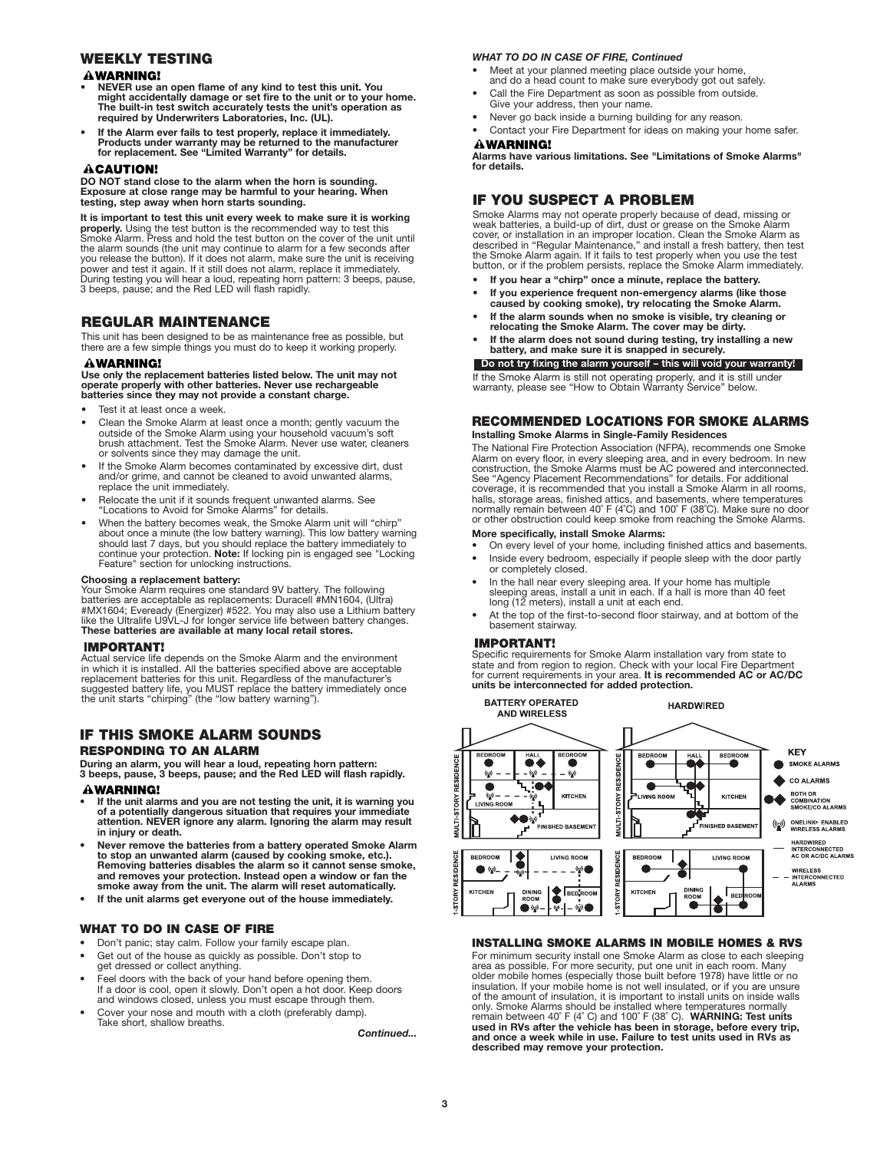# **WEEKLY TESTING**

## **AWARNING!**

- **• NEVER use an open flame of any kind to test this unit. You might accidentally damage or set fire to the unit or to your home. The built-in test switch accurately tests the unit's operation as required by Underwriters Laboratories, Inc. (UL).**
- **• If the Alarm ever fails to test properly, replace it immediately. Products under warranty may be returned to the manufacturer for replacement. See "Limited Warranty" for details.**

#### **ACAUTION!**

**DO NOT stand close to the alarm when the horn is sounding. Exposure at close range may be harmful to your hearing. When testing, step away when horn starts sounding.**

**It is important to test this unit every week to make sure it is working properly.** Using the test button is the recommended way to test this Smoke Alarm. Press and hold the test button on the cover of the unit until the alarm sounds (the unit may continue to alarm for a few seconds after you release the button). If it does not alarm, make sure the unit is receiving<br>power and test it again. If it still does not alarm, replace it immediately.<br>During testing you will hear a loud, repeating horn pattern: 3 bee 3 beeps, pause; and the Red LED will flash rapidly.

# **REGULAR MAINTENANCE**

This unit has been designed to be as maintenance free as possible, but there are a few simple things you must do to keep it working properly.

#### **WARNING!**

**Use only the replacement batteries listed below. The unit may not operate properly with other batteries. Never use rechargeable batteries since they may not provide a constant charge.**

- Test it at least once a week.
- Clean the Smoke Alarm at least once a month; gently vacuum the outside of the Smoke Alarm using your household vacuum's soft brush attachment. Test the Smoke Alarm. Never use water, cleaners or solvents since they may damage the unit.
- If the Smoke Alarm becomes contaminated by excessive dirt, dust and/or grime, and cannot be cleaned to avoid unwanted alarms, replace the unit immediately.
- Relocate the unit if it sounds frequent unwanted alarms. See "Locations to Avoid for Smoke Alarms" for details.
- When the battery becomes weak, the Smoke Alarm unit will "chirp" about once a minute (the low battery warning). This low battery warning<br>should last 7 days, but you should replace the battery immediately to<br>continue your protection. **Note:** If locking pin is engaged see "Locking Feature" section for unlocking instructions.

#### **Choosing a replacement battery:**

Your Smoke Alarm requires one standard 9V battery. The following<br>batteries are acceptable as replacements: Duracell #MN1604, (Ultra)<br>#MX1604; Eveready (Energizer) #522. You may also use a Lithium battery like the Ultralife U9VL-J for longer service life between battery changes. **These batteries are available at many local retail stores.**

## **IMPORTANT!**

Actual service life depends on the Smoke Alarm and the environment in which it is installed. All the batteries specified above are acceptable replacement batteries for this unit. Regardless of the manufacturer's suggested battery life, you MUST replace the battery immediately once the unit starts "chirping" (the "low battery warning").

# **IF THIS SMOKE ALARM SOUNDS**

# **RESPONDING TO AN ALARM**

**During an alarm, you will hear a loud, repeating horn pattern: 3 beeps, pause, 3 beeps, pause; and the Red LED will flash rapidly.**

## **AWARNING!**

- **If the unit alarms and you are not testing the unit, it is warning you of a potentially dangerous situation that requires your immediate attention. NEVER ignore any alarm. Ignoring the alarm may result in injury or death.**
- **Never remove the batteries from a battery operated Smoke Alarm to stop an unwanted alarm (caused by cooking smoke, etc.). Removing batteries disables the alarm so it cannot sense smoke, and removes your protection. Instead open a window or fan the smoke away from the unit. The alarm will reset automatically.**
- **• If the unit alarms get everyone out of the house immediately.**

## **WHAT TO DO IN CASE OF FIRE**

- Don't panic; stay calm. Follow your family escape plan.
- Get out of the house as quickly as possible. Don't stop to get dressed or collect anything.
- Feel doors with the back of your hand before opening them. If a door is cool, open it slowly. Don't open a hot door. Keep doors and windows closed, unless you must escape through them.
- Cover your nose and mouth with a cloth (preferably damp). Take short, shallow breaths.

*Continued...*

## *WHAT TO DO IN CASE OF FIRE, Continued*

• Meet at your planned meeting place outside your home, and do a head count to make sure everybody got out safely.

- Call the Fire Department as soon as possible from outside. Give your address, then your name.
- Never go back inside a burning building for any reason.
- Contact your Fire Department for ideas on making your home safer. **AWARNING!**

**Alarms have various limitations. See "Limitations of Smoke Alarms" for details.**

# **IF YOU SUSPECT A PROBLEM**

Smoke Alarms may not operate properly because of dead, missing or weak batteries, a build-up of dirt, dust or grease on the Smoke Alarm<br>cover, or installation in an improper location. Clean the Smoke Alarm as<br>described in "Regular Maintenance," and install a fresh battery, then test the Smoke Alarm again. If it fails to test properly when you use the test button, or if the problem persists, replace the Smoke Alarm immediately.

- **If you hear a "chirp" once a minute, replace the battery.**
- **If you experience frequent non-emergency alarms (like those caused by cooking smoke), try relocating the Smoke Alarm.**
- **• If the alarm sounds when no smoke is visible, try cleaning or relocating the Smoke Alarm. The cover may be dirty.**
- **• If the alarm does not sound during testing, try installing a new battery, and make sure it is snapped in securely.**

# Do not try fixing the alarm yourself – this will void your

If the Smoke Alarm is still not operating properly, and it is still under warranty, please see "How to Obtain Warranty Service" below.

## **RECOMMENDED LOCATIONS FOR SMOKE ALARMS Installing Smoke Alarms in Single-Family Residences**

The National Fire Protection Association (NFPA), recommends one Smoke Alarm on every floor, in every sleeping area, and in every bedroom. In new<br>construction, the Smoke Alarms must be AC powered and interconnected.<br>See "Agency Placement Recommendations" for details. For additional coverage, it is recommended that you install a Smoke Alarm in all rooms, halls, storage areas, finished attics, and basements, where temperatures normally remain between 40˚ F (4˚C) and 100˚ F (38˚C). Make sure no door or other obstruction could keep smoke from reaching the Smoke Alarms.

## **More specifically, install Smoke Alarms:**

- On every level of your home, including finished attics and basements. • Inside every bedroom, especially if people sleep with the door partly
- or completely closed.
- In the hall near every sleeping area. If your home has multiple sleeping areas, install a unit in each. If a hall is more than 40 feet long (12 meters), install a unit at each end.
- At the top of the first-to-second floor stairway, and at bottom of the basement stairway.

#### **IMPORTANT!**

Specific requirements for Smoke Alarm installation vary from state to state and from region to region. Check with your local Fire Department for current requirements in your area. **It is recommended AC or AC/DC units be interconnected for added protection.**



## **INSTALLING SMOKE ALARMS IN MOBILE HOMES & RVS**

For minimum security install one Smoke Alarm as close to each sleeping area as possible. For more security, put one unit in each room. Many older mobile homes (especially those built before 1978) have little or no insulation. If your mobile home is not well insulated, or if you are unsure of the amount of insulation, it is important to install units on inside walls only. Smoke Alarms should be installed where temperatures normally remain between 40˚ F (4˚ C) and 100˚ F (38˚ C). **WARNING: Test units used in RVs after the vehicle has been in storage, before every trip, and once a week while in use. Failure to test units used in RVs as described may remove your protection.**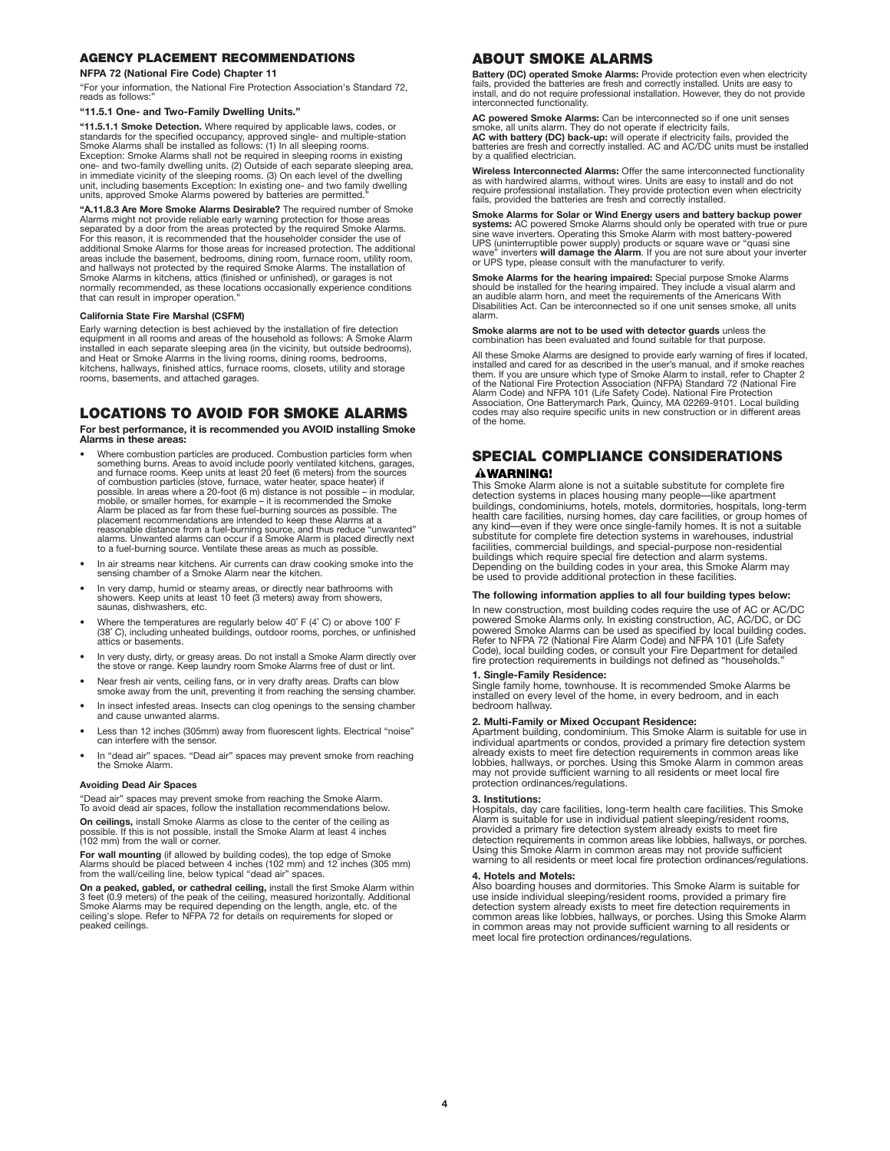## **AGENCY PLACEMENT RECOMMENDATIONS**

#### **NFPA 72 (National Fire Code) Chapter 11**

"For your information, the National Fire Protection Association's Standard 72, reads as follows:

#### **"11.5.1 One- and Two-Family Dwelling Units."**

**"11.5.1.1 Smoke Detection.** Where required by applicable laws, codes, or standards for the specified occupancy, approved single- and multiple-station Smoke Alarms shall be installed as follows: (1) In all sleeping rooms. Exception: Smoke Alarms shall not be required in sleeping rooms in existing one- and two-family dwelling units. (2) Outside of each separate sleeping area, in immediate vicinity of the sleeping rooms. (3) On each level of the dwelling unit, including basements Exception: In existing one- and two family dwelling units, approved Smoke Alarms powered by batteries are permitted."

**"A.11.8.3 Are More Smoke Alarms Desirable?** The required number of Smoke Alarms might not provide reliable early warning protection for those areas separated by a door from the areas protected by the required Smoke Alarms. For this reason, it is recommended that the householder consider the use of additional Smoke Alarms for those areas for increased protection. The additional areas include the basement, bedrooms, dining room, furnace room, utility room, and hallways not protected by the required Smoke Alarms. The installation of Smoke Alarms in kitchens, attics (finished or unfinished), or garages is not normally recommended, as these locations occasionally experience conditions that can result in improper operation."

#### **California State Fire Marshal (CSFM)**

Early warning detection is best achieved by the installation of fire detection equipment in all rooms and areas of the household as follows: A Smoke Alarm installed in each separate sleeping area (in the vicinity, but outside bedrooms),<br>and Heat or Smoke Alarms in the living rooms, dining rooms, bedrooms,<br>kitchens, hallways, finished attics, furnace rooms, closets, utility a rooms, basements, and attached garages.

# **LOCATIONS TO AVOID FOR SMOKE ALARMS**

**For best performance, it is recommended you AVOID installing Smoke Alarms in these areas:**

- Where combustion particles are produced. Combustion particles form when<br>something burns. Areas to avoid include poorly ventilated kitchens, garages,<br>and furnace rooms. Keep units at least 20 feet (6 meters) from the sour of combustion particles (stove, furnace, water heater, space heater) if possible. In areas where a 20-foot (6 m) distance is not possible – in modular, mobile, or smaller homes, for example – it is recommended the Smoke<br>Alarm be placed as far from these fuel-burning sources as possible. The<br>placement recommendations are intended to keep these Alarms at a<br>reasonable distan alarms. Unwanted alarms can occur if a Smoke Alarm is placed directly next to a fuel-burning source. Ventilate these areas as much as possible.
- In air streams near kitchens. Air currents can draw cooking smoke into the sensing chamber of a Smoke Alarm near the kitchen.
- In very damp, humid or steamy areas, or directly near bathrooms with showers. Keep units at least 10 feet (3 meters) away from showers, saunas, dishwashers, etc.
- Where the temperatures are regularly below 40˚ F (4˚ C) or above 100˚ F (38˚ C), including unheated buildings, outdoor rooms, porches, or unfinished attics or basements.
- In very dusty, dirty, or greasy areas. Do not install a Smoke Alarm directly over the stove or range. Keep laundry room Smoke Alarms free of dust or lint.
- Near fresh air vents, ceiling fans, or in very drafty areas. Drafts can blow smoke away from the unit, preventing it from reaching the sensing chamber.
- In insect infested areas. Insects can clog openings to the sensing chamber and cause unwanted alarms.
- Less than 12 inches (305mm) away from fluorescent lights. Electrical "noise" can interfere with the sensor.
- In "dead air" spaces. "Dead air" spaces may prevent smoke from reaching the Smoke Alarm.

#### **Avoiding Dead Air Spaces**

"Dead air" spaces may prevent smoke from reaching the Smoke Alarm. To avoid dead air spaces, follow the installation recommendations below.

**On ceilings,** install Smoke Alarms as close to the center of the ceiling as possible. If this is not possible, install the Smoke Alarm at least 4 inches (102 mm) from the wall or corner.

**For wall mounting** (if allowed by building codes), the top edge of Smoke Alarms should be placed between 4 inches (102 mm) and 12 inches (305 mm) from the wall/ceiling line, below typical "dead air" spaces.

**On a peaked, gabled, or cathedral ceiling,** install the first Smoke Alarm within<br>3 feet (0.9 meters) of the peak of the ceiling, measured horizontally. Additional<br>Smoke Alarms may be required depending on the length, angl peaked ceilings.

## **ABOUT SMOKE ALARMS**

**Battery (DC) operated Smoke Alarms:** Provide protection even when electricity<br>fails, provided the batteries are fresh and correctly installed. Units are easy to<br>install, and do not require professional installation. Howev interconnected functionality.

**AC powered Smoke Alarms:** Can be interconnected so if one unit senses<br>smoke, all units alarm. They do not operate if electricity fails.<br>**AC with battery (DC) back-up:** will operate if electricity fails, provided the<br>batte by a qualified electrician.

**Wireless Interconnected Alarms:** Offer the same interconnected functionality as with hardwired alarms, without wires. Units are easy to install and do not require professional installation. They provide protection even when electricity fails, provided the batteries are fresh and correctly installed.

**Smoke Alarms for Solar or Wind Energy users and battery backup power** systems: AC powered Smoke Alarms should only be operated with true or pure<br>sine wave inverters. Operating this Smoke Alarm with most battery-powered<br>UPS (uninterruptible power supply) products or square wave or "quasi sine

**Smoke Alarms for the hearing impaired:** Special purpose Smoke Alarms<br>should be installed for the hearing impaired. They include a visual alarm and<br>an audible alarm horn, and meet the requirements of the Americans With Disabilities Act. Can be interconnected so if one unit senses smoke, all units alarm.

**Smoke alarms are not to be used with detector guards** unless the combination has been evaluated and found suitable for that purpose.

All these Smoke Alarms are designed to provide early warning of fires if located,<br>installed and cared for as described in the user's manual, and if smoke reaches<br>them. If you are unsure which type of Smoke Alarm to install Alarm Code) and NFPA 101 (Life Safety Code). National Fire Protection Association, One Batterymarch Park, Quincy, MA 02269-9101. Local building codes may also require specific units in new construction or in different areas of the home.

## **SPECIAL COMPLIANCE CONSIDERATIONS AWARNING!**

This Smoke Alarm alone is not a suitable substitute for complete fire detection systems in places housing many people—like apartment buildings, condominiums, hotels, motels, dormitories, hospitals, long-term health care facilities, nursing homes, day care facilities, or group homes of any kind—even if they were once single-family homes. It is not a suitable substitute for complete fire detection systems in warehouses, industrial facilities, commercial buildings, and special-purpose non-residential buildings which require special fire detection and alarm systems. Depending on the building codes in your area, this Smoke Alarm may be used to provide additional protection in these facilities.

#### **The following information applies to all four building types below:**

In new construction, most building codes require the use of AC or AC/DC powered Smoke Alarms only. In existing construction, AC, AC/DC, or DC<br>powered Smoke Alarms can be used as specified by local building codes.<br>Refer to NFPA 72 (National Fire Alarm Code) and NFPA 101 (Life Safety Code), local building codes, or consult your Fire Department for detailed fire protection requirements in buildings not defined as "households."

#### **1. Single-Family Residence:**

Single family home, townhouse. It is recommended Smoke Alarms be installed on every level of the home, in every bedroom, and in each bedroom hallway.

#### **2. Multi-Family or Mixed Occupant Residence:**

Apartment building, condominium. This Smoke Alarm is suitable for use in individual apartments or condos, provided a primary fire detection system already exists to meet fire detection requirements in common areas like lobbies, hallways, or porches. Using this Smoke Alarm in common areas may not provide sufficient warning to all residents or meet local fire protection ordinances/regulations.

## **3. Institutions:**

Hospitals, day care facilities, long-term health care facilities. This Smoke Alarm is suitable for use in individual patient sleeping/resident rooms, provided a primary fire detection system already exists to meet fire detection requirements in common areas like lobbies, hallways, or porches. Using this Smoke Alarm in common areas may not provide sufficient warning to all residents or meet local fire protection ordinances/regulations.

#### **4. Hotels and Motels:**

Also boarding houses and dormitories. This Smoke Alarm is suitable for use inside individual sleeping/resident rooms, provided a primary fire<br>detection system already exists to meet fire detection requirements in<br>common areas like lobbies, hallways, or porches. Using this Smoke Alarm in common areas may not provide sufficient warning to all residents or meet local fire protection ordinances/regulations.